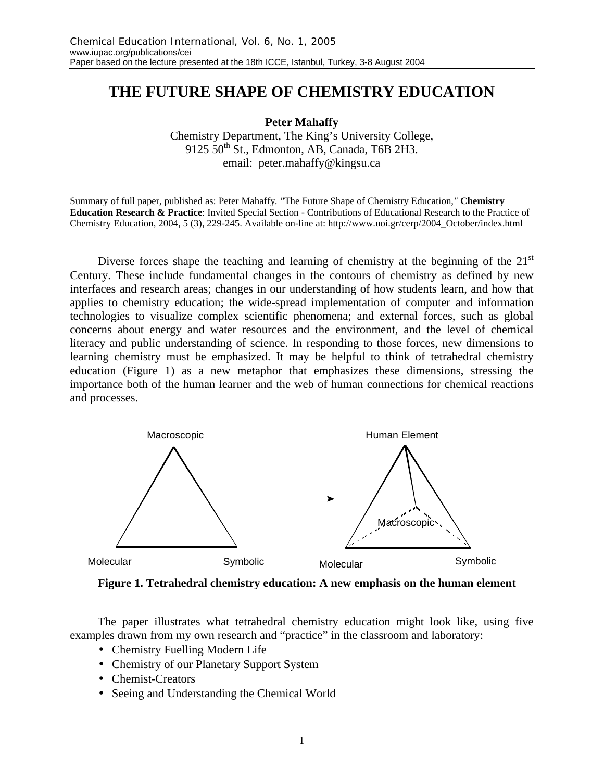## **THE FUTURE SHAPE OF CHEMISTRY EDUCATION**

**Peter Mahaffy**

Chemistry Department, The King's University College,  $9125\,50^{th}$  St., Edmonton, AB, Canada, T6B 2H3. email: peter.mahaffy@kingsu.ca

Summary of full paper, published as: Peter Mahaffy*. "*The Future Shape of Chemistry Education*,"* **Chemistry Education Research & Practice**: Invited Special Section - Contributions of Educational Research to the Practice of Chemistry Education, 2004, 5 (3), 229-245. Available on-line at: http://www.uoi.gr/cerp/2004\_October/index.html

Diverse forces shape the teaching and learning of chemistry at the beginning of the  $21<sup>st</sup>$ Century. These include fundamental changes in the contours of chemistry as defined by new interfaces and research areas; changes in our understanding of how students learn, and how that applies to chemistry education; the wide-spread implementation of computer and information technologies to visualize complex scientific phenomena; and external forces, such as global concerns about energy and water resources and the environment, and the level of chemical literacy and public understanding of science. In responding to those forces, new dimensions to learning chemistry must be emphasized. It may be helpful to think of tetrahedral chemistry education (Figure 1) as a new metaphor that emphasizes these dimensions, stressing the importance both of the human learner and the web of human connections for chemical reactions and processes.



**Figure 1. Tetrahedral chemistry education: A new emphasis on the human element**

The paper illustrates what tetrahedral chemistry education might look like, using five examples drawn from my own research and "practice" in the classroom and laboratory:

- Chemistry Fuelling Modern Life
- Chemistry of our Planetary Support System
- Chemist-Creators
- Seeing and Understanding the Chemical World